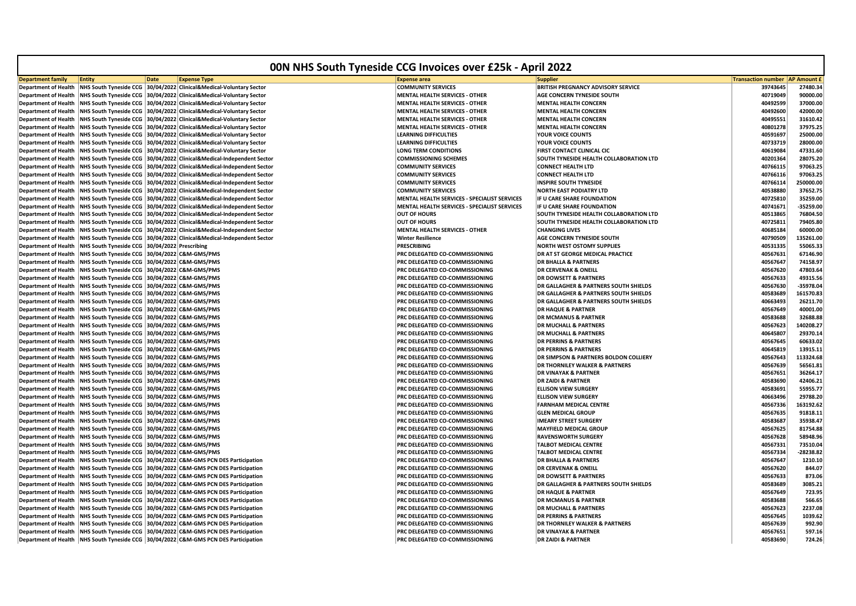| 00N NHS South Tyneside CCG Invoices over £25k - April 2022 |                                                |             |                                                                                      |                                                                  |                                           |                                       |             |  |
|------------------------------------------------------------|------------------------------------------------|-------------|--------------------------------------------------------------------------------------|------------------------------------------------------------------|-------------------------------------------|---------------------------------------|-------------|--|
| <b>Department family</b>                                   | <b>Entity</b>                                  | <b>Date</b> | <b>Expense Type</b>                                                                  | <b>Expense area</b>                                              | Supplieı                                  | <b>Transaction number AP Amount £</b> |             |  |
| <b>Department of Health</b>                                | <b>NHS South Tyneside CCG</b>                  |             | 30/04/2022 Clinical&Medical-Voluntary Sector                                         | <b>COMMUNITY SERVICES</b>                                        | BRITISH PREGNANCY ADVISORY SERVICE        | 39743645                              | 27480.34    |  |
| <b>Department of Health</b>                                | <b>NHS South Tyneside CCG</b>                  |             | 30/04/2022 Clinical&Medical-Voluntary Sector                                         | <b>MENTAL HEALTH SERVICES - OTHER</b>                            | <b>AGE CONCERN TYNESIDE SOUTH</b>         | 40719049                              | 90000.00    |  |
| <b>Department of Health</b>                                | NHS South Tyneside CCG                         |             | 30/04/2022 Clinical&Medical-Voluntary Sector                                         | <b>MENTAL HEALTH SERVICES - OTHER</b>                            | <b>MENTAL HEALTH CONCERN</b>              | 40492599                              | 37000.00    |  |
| <b>Department of Health</b>                                | <b>NHS South Tyneside CCG</b>                  |             | 30/04/2022 Clinical&Medical-Voluntary Sector                                         | <b>MENTAL HEALTH SERVICES - OTHER</b>                            | <b>MENTAL HEALTH CONCERN</b>              | 40492600                              | 42000.00    |  |
| <b>Department of Health</b>                                | <b>NHS South Tyneside CCG</b>                  |             | 30/04/2022 Clinical&Medical-Voluntary Sector                                         | <b>MENTAL HEALTH SERVICES - OTHER</b>                            | <b>MENTAL HEALTH CONCERN</b>              | 40495551                              | 31610.42    |  |
| <b>Department of Health</b>                                | <b>NHS South Tyneside CCG</b>                  |             | 30/04/2022 Clinical&Medical-Voluntary Sector                                         | <b>MENTAL HEALTH SERVICES - OTHER</b>                            | <b>MENTAL HEALTH CONCERN</b>              | 40801278                              | 37975.25    |  |
| <b>Department of Health</b>                                |                                                |             | NHS South Tyneside CCG 30/04/2022 Clinical&Medical-Voluntary Sector                  | <b>LEARNING DIFFICULTIES</b>                                     | <b>YOUR VOICE COUNTS</b>                  | 40591697                              | 25000.00    |  |
| <b>Department of Health</b>                                | <b>NHS South Tyneside CCG</b>                  |             | 30/04/2022 Clinical&Medical-Voluntary Sector                                         | <b>LEARNING DIFFICULTIES</b>                                     | <b>YOUR VOICE COUNTS</b>                  | 40733719                              | 28000.00    |  |
| <b>Department of Health</b>                                | <b>NHS South Tyneside CCG</b>                  |             | 30/04/2022 Clinical&Medical-Voluntary Sector                                         | LONG TERM CONDITIONS                                             | FIRST CONTACT CLINICAL CIC                | 40619084                              | 47331.60    |  |
| <b>Department of Health</b>                                | NHS South Tyneside CCG                         |             | 30/04/2022 Clinical&Medical-Independent Sector                                       | <b>COMMISSIONING SCHEMES</b>                                     | SOUTH TYNESIDE HEALTH COLLABORATION LTD   | 40201364                              | 28075.20    |  |
| <b>Department of Health</b>                                | <b>NHS South Tyneside CCG</b>                  |             | 30/04/2022 Clinical&Medical-Independent Sector                                       | <b>COMMUNITY SERVICES</b>                                        | CONNECT HEALTH LTD                        | 40766115                              | 97063.25    |  |
| <b>Department of Health</b>                                |                                                |             | NHS South Tyneside CCG 30/04/2022 Clinical&Medical-Independent Sector                | <b>COMMUNITY SERVICES</b>                                        | <b>CONNECT HEALTH LTD</b>                 | 40766116                              | 97063.25    |  |
| <b>Department of Health</b>                                |                                                |             | NHS South Tyneside CCG 30/04/2022 Clinical&Medical-Independent Sector                | <b>COMMUNITY SERVICES</b>                                        | <b>INSPIRE SOUTH TYNESIDE</b>             | 40766114                              | 250000.00   |  |
| Department of Health                                       | <b>NHS South Tyneside CCG</b>                  |             | 30/04/2022 Clinical&Medical-Independent Sector                                       | <b>COMMUNITY SERVICES</b>                                        | NORTH EAST PODIATRY LTD                   | 40538880                              | 37652.75    |  |
| <b>Department of Health</b>                                | <b>NHS South Tyneside CCG</b>                  |             | 30/04/2022 Clinical&Medical-Independent Sector                                       | MENTAL HEALTH SERVICES - SPECIALIST SERVICES                     | IF U CARE SHARE FOUNDATION                | 40725810                              | 35259.00    |  |
| <b>Department of Health</b>                                | <b>NHS South Tyneside CCG</b>                  |             | 30/04/2022 Clinical&Medical-Independent Sector                                       | MENTAL HEALTH SERVICES - SPECIALIST SERVICES                     | IF U CARE SHARE FOUNDATION                | 40741671                              | $-35259.00$ |  |
| Department of Health                                       |                                                |             | NHS South Tyneside CCG 30/04/2022 Clinical&Medical-Independent Sector                | <b>OUT OF HOURS</b>                                              | SOUTH TYNESIDE HEALTH COLLABORATION LTD   | 40513865                              | 76804.50    |  |
|                                                            |                                                |             |                                                                                      |                                                                  |                                           |                                       | 79405.80    |  |
| <b>Department of Health</b>                                |                                                |             | NHS South Tyneside CCG 30/04/2022 Clinical&Medical-Independent Sector                | <b>OUT OF HOURS</b>                                              | SOUTH TYNESIDE HEALTH COLLABORATION LTD   | 40725811                              |             |  |
| Department of Health                                       | <b>NHS South Tyneside CCG</b>                  |             | 30/04/2022 Clinical&Medical-Independent Sector                                       | <b>MENTAL HEALTH SERVICES - OTHER</b>                            | <b>CHANGING LIVES</b>                     | 40685184                              | 60000.00    |  |
| <b>Department of Health</b>                                | <b>NHS South Tyneside CCG</b>                  |             | 30/04/2022 Clinical&Medical-Independent Sector                                       | <b>Winter Resilience</b>                                         | AGE CONCERN TYNESIDE SOUTH                | 40790509                              | 135261.00   |  |
| <b>Department of Health</b>                                | NHS South Tyneside CCG 30/04/2022 Prescribing  |             |                                                                                      | <b>PRESCRIBING</b>                                               | <b>NORTH WEST OSTOMY SUPPLIES</b>         | 40531335                              | 55065.33    |  |
| Department of Health                                       | NHS South Tyneside CCG 30/04/2022 C&M-GMS/PMS  |             |                                                                                      | PRC DELEGATED CO-COMMISSIONING                                   | DR AT ST GEORGE MEDICAL PRACTICE          | 40567631                              | 67146.90    |  |
| <b>Department of Health</b>                                | NHS South Tyneside CCG 30/04/2022 C&M-GMS/PMS  |             |                                                                                      | PRC DELEGATED CO-COMMISSIONING                                   | <b>DR BHALLA &amp; PARTNERS</b>           | 40567647                              | 74158.97    |  |
| <b>Department of Health</b>                                | <b>NHS South Tyneside CCG</b>                  |             | 30/04/2022 C&M-GMS/PMS                                                               | PRC DELEGATED CO-COMMISSIONING                                   | <b>DR CERVENAK &amp; ONEILL</b>           | 40567620                              | 47803.64    |  |
| <b>Department of Health</b>                                | NHS South Tyneside CCG 30/04/2022 C&M-GMS/PMS  |             |                                                                                      | PRC DELEGATED CO-COMMISSIONING                                   | <b>DR DOWSETT &amp; PARTNERS</b>          | 40567633                              | 49315.56    |  |
| <b>Department of Health</b>                                | <b>NHS South Tyneside CCG</b>                  |             | 30/04/2022 C&M-GMS/PMS                                                               | PRC DELEGATED CO-COMMISSIONING                                   | DR GALLAGHER & PARTNERS SOUTH SHIELDS     | 40567630                              | $-35978.04$ |  |
| Department of Health                                       | NHS South Tyneside CCG 30/04/2022 C&M-GMS/PMS  |             |                                                                                      | PRC DELEGATED CO-COMMISSIONING                                   | DR GALLAGHER & PARTNERS SOUTH SHIELDS     | 40583689                              | 161570.83   |  |
| <b>Department of Health</b>                                | NHS South Tyneside CCG 30/04/2022 C&M-GMS/PMS  |             |                                                                                      | PRC DELEGATED CO-COMMISSIONING                                   | DR GALLAGHER & PARTNERS SOUTH SHIELDS     | 40663493                              | 26211.70    |  |
| <b>Department of Health</b>                                | <b>NHS South Tyneside CCG</b>                  |             | 30/04/2022 C&M-GMS/PMS                                                               | PRC DELEGATED CO-COMMISSIONING                                   | <b>DR HAQUE &amp; PARTNER</b>             | 40567649                              | 40001.00    |  |
| <b>Department of Health</b>                                | NHS South Tyneside CCG 30/04/2022 C&M-GMS/PMS  |             |                                                                                      | PRC DELEGATED CO-COMMISSIONING                                   | <b>DR MCMANUS &amp; PARTNER</b>           | 40583688                              | 32688.88    |  |
| <b>Department of Health</b>                                | <b>NHS South Tyneside CCG</b>                  |             | 30/04/2022 C&M-GMS/PMS                                                               | PRC DELEGATED CO-COMMISSIONING                                   | <b>DR MUCHALL &amp; PARTNERS</b>          | 40567623                              | 140208.27   |  |
| Department of Health                                       | NHS South Tyneside CCG 30/04/2022 C&M-GMS/PMS  |             |                                                                                      | PRC DELEGATED CO-COMMISSIONING                                   | <b>DR MUCHALL &amp; PARTNERS</b>          | 40645807                              | 29370.14    |  |
| Department of Health                                       | NHS South Tyneside CCG 30/04/2022 C&M-GMS/PMS  |             |                                                                                      | PRC DELEGATED CO-COMMISSIONING                                   | <b>DR PERRINS &amp; PARTNERS</b>          | 40567645                              | 60633.02    |  |
| <b>Department of Health</b>                                | <b>NHS South Tyneside CCG</b>                  |             | 30/04/2022 C&M-GMS/PMS                                                               | PRC DELEGATED CO-COMMISSIONING                                   | <b>DR PERRINS &amp; PARTNERS</b>          | 40645819                              | 13915.11    |  |
| <b>Department of Health</b>                                | NHS South Tyneside CCG 30/04/2022 C&M-GMS/PMS  |             |                                                                                      | PRC DELEGATED CO-COMMISSIONING                                   | DR SIMPSON & PARTNERS BOLDON COLLIERY     | 40567643                              | 113324.68   |  |
| <b>Department of Health</b>                                | NHS South Tyneside CCG 30/04/2022 C&M-GMS/PMS  |             |                                                                                      | PRC DELEGATED CO-COMMISSIONING                                   | <b>DR THORNILEY WALKER &amp; PARTNERS</b> | 40567639                              | 56561.81    |  |
| <b>Department of Health</b>                                | NHS South Tyneside CCG 30/04/2022 C&M-GMS/PMS  |             |                                                                                      | PRC DELEGATED CO-COMMISSIONING                                   | <b>DR VINAYAK &amp; PARTNER</b>           | 40567651                              | 36264.17    |  |
| <b>Department of Health</b>                                | NHS South Tyneside CCG 30/04/2022 C&M-GMS/PMS  |             |                                                                                      | PRC DELEGATED CO-COMMISSIONING                                   | <b>DR ZAIDI &amp; PARTNER</b>             | 40583690                              | 42406.21    |  |
| <b>Department of Health</b>                                | NHS South Tyneside CCG  30/04/2022 C&M-GMS/PMS |             |                                                                                      | PRC DELEGATED CO-COMMISSIONING                                   | <b>ELLISON VIEW SURGERY</b>               | 40583691                              | 55955.77    |  |
| <b>Department of Health</b>                                | NHS South Tyneside CCG 30/04/2022 C&M-GMS/PMS  |             |                                                                                      | PRC DELEGATED CO-COMMISSIONING                                   | <b>ELLISON VIEW SURGERY</b>               | 40663496                              | 29788.20    |  |
| <b>Department of Health</b>                                | NHS South Tyneside CCG 30/04/2022 C&M-GMS/PMS  |             |                                                                                      | PRC DELEGATED CO-COMMISSIONING                                   | FARNHAM MEDICAL CENTRE                    | 40567336                              | 163192.62   |  |
| <b>Department of Health</b>                                | NHS South Tyneside CCG 30/04/2022 C&M-GMS/PMS  |             |                                                                                      | PRC DELEGATED CO-COMMISSIONING                                   | <b>GLEN MEDICAL GROUP</b>                 | 40567635                              | 91818.11    |  |
| <b>Department of Health</b>                                | NHS South Tyneside CCG 30/04/2022 C&M-GMS/PMS  |             |                                                                                      | PRC DELEGATED CO-COMMISSIONING                                   | <b>IMEARY STREET SURGERY</b>              | 40583687                              | 35938.47    |  |
| Department of Health                                       | NHS South Tyneside CCG 30/04/2022 C&M-GMS/PMS  |             |                                                                                      | PRC DELEGATED CO-COMMISSIONING                                   | <b>MAYFIELD MEDICAL GROUP</b>             | 40567625                              | 81754.88    |  |
| <b>Department of Health</b>                                | NHS South Tyneside CCG 30/04/2022 C&M-GMS/PMS  |             |                                                                                      | PRC DELEGATED CO-COMMISSIONING                                   | <b>RAVENSWORTH SURGERY</b>                | 40567628                              | 58948.96    |  |
|                                                            | NHS South Tyneside CCG 30/04/2022 C&M-GMS/PMS  |             |                                                                                      | PRC DELEGATED CO-COMMISSIONING                                   | TALBOT MEDICAL CENTRE                     | 40567331                              | 73510.04    |  |
| <b>Department of Health</b>                                | NHS South Tyneside CCG 30/04/2022 C&M-GMS/PMS  |             |                                                                                      |                                                                  |                                           |                                       | $-28238.82$ |  |
| <b>Department of Health</b>                                |                                                |             |                                                                                      | PRC DELEGATED CO-COMMISSIONING<br>PRC DELEGATED CO-COMMISSIONING | TALBOT MEDICAL CENTRE                     | 40567334                              | 1210.10     |  |
| <b>Department of Health</b>                                | <b>NHS South Tyneside CCG</b>                  |             | 30/04/2022 C&M-GMS PCN DES Participation                                             |                                                                  | <b>DR BHALLA &amp; PARTNERS</b>           | 40567647                              | 844.07      |  |
| <b>Department of Health</b>                                | <b>NHS South Tyneside CCG</b>                  |             | 30/04/2022 C&M-GMS PCN DES Participation                                             | PRC DELEGATED CO-COMMISSIONING                                   | <b>DR CERVENAK &amp; ONEILL</b>           | 40567620                              |             |  |
| <b>Department of Health</b>                                | <b>NHS South Tyneside CCG</b>                  |             | 30/04/2022 C&M-GMS PCN DES Participation                                             | PRC DELEGATED CO-COMMISSIONING                                   | <b>DR DOWSETT &amp; PARTNERS</b>          | 40567633                              | 873.06      |  |
| <b>Department of Health</b>                                |                                                |             | NHS South Tyneside CCG 30/04/2022 C&M-GMS PCN DES Participation                      | PRC DELEGATED CO-COMMISSIONING                                   | DR GALLAGHER & PARTNERS SOUTH SHIELDS     | 40583689                              | 3085.21     |  |
| <b>Department of Health</b>                                |                                                |             | NHS South Tyneside CCG 30/04/2022 C&M-GMS PCN DES Participation                      | PRC DELEGATED CO-COMMISSIONING                                   | <b>DR HAQUE &amp; PARTNER</b>             | 40567649                              | 723.95      |  |
| <b>Department of Health</b>                                | <b>NHS South Tyneside CCG</b>                  |             | 30/04/2022 C&M-GMS PCN DES Participation                                             | PRC DELEGATED CO-COMMISSIONING                                   | DR MCMANUS & PARTNER                      | 40583688                              | 566.65      |  |
| <b>Department of Health</b>                                |                                                |             | NHS South Tyneside CCG 30/04/2022 C&M-GMS PCN DES Participation                      | PRC DELEGATED CO-COMMISSIONING                                   | <b>DR MUCHALL &amp; PARTNERS</b>          | 40567623                              | 2237.08     |  |
| <b>Department of Health</b>                                |                                                |             | NHS South Tyneside CCG 30/04/2022 C&M-GMS PCN DES Participation                      | PRC DELEGATED CO-COMMISSIONING                                   | <b>DR PERRINS &amp; PARTNERS</b>          | 40567645                              | 1039.62     |  |
| <b>Department of Health</b>                                |                                                |             | NHS South Tyneside CCG 30/04/2022 C&M-GMS PCN DES Participation                      | PRC DELEGATED CO-COMMISSIONING                                   | DR THORNILEY WALKER & PARTNERS            | 40567639                              | 992.90      |  |
| <b>Department of Health</b>                                |                                                |             | NHS South Tyneside CCG 30/04/2022 C&M-GMS PCN DES Participation                      | PRC DELEGATED CO-COMMISSIONING                                   | <b>DR VINAYAK &amp; PARTNER</b>           | 40567651                              | 597.16      |  |
|                                                            |                                                |             | Department of Health NHS South Tyneside CCG 30/04/2022 C&M-GMS PCN DES Participation | <b>PRC DELEGATED CO-COMMISSIONING</b>                            | <b>DR ZAIDI &amp; PARTNER</b>             | 40583690                              | 724.26      |  |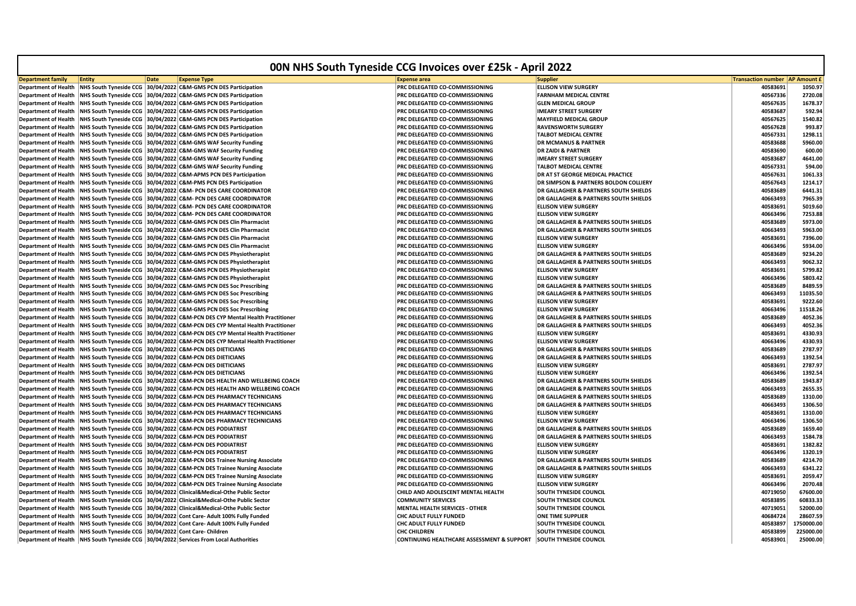|                             |                                                       |             |                                                                                            | 00N NHS South Tyneside CCG Invoices over £25k - April 2022        |                                                  |                                       |                    |
|-----------------------------|-------------------------------------------------------|-------------|--------------------------------------------------------------------------------------------|-------------------------------------------------------------------|--------------------------------------------------|---------------------------------------|--------------------|
| <b>Department family</b>    | Entity                                                | <b>Date</b> | <b>Expense Type</b>                                                                        | <b>Expense area</b>                                               | <b>Supplier</b>                                  | <b>Transaction number AP Amount f</b> |                    |
| <b>Department of Health</b> |                                                       |             | NHS South Tyneside CCG 30/04/2022 C&M-GMS PCN DES Participation                            | PRC DELEGATED CO-COMMISSIONING                                    | <b>ELLISON VIEW SURGERY</b>                      | 40583691                              | 1050.97            |
| <b>Department of Health</b> |                                                       |             | NHS South Tyneside CCG 30/04/2022 C&M-GMS PCN DES Participation                            | PRC DELEGATED CO-COMMISSIONING                                    | <b>FARNHAM MEDICAL CENTRE</b>                    | 40567336                              | 2720.08            |
| <b>Department of Health</b> |                                                       |             | NHS South Tyneside CCG 30/04/2022 C&M-GMS PCN DES Participation                            | PRC DELEGATED CO-COMMISSIONING                                    | <b>GLEN MEDICAL GROUP</b>                        | 40567635                              | 1678.37            |
| <b>Department of Health</b> |                                                       |             | NHS South Tyneside CCG 30/04/2022 C&M-GMS PCN DES Participation                            | PRC DELEGATED CO-COMMISSIONING                                    | <b>IMEARY STREET SURGERY</b>                     | 40583687                              | 592.94             |
| <b>Department of Health</b> |                                                       |             | NHS South Tyneside CCG 30/04/2022 C&M-GMS PCN DES Participation                            | PRC DELEGATED CO-COMMISSIONING                                    | <b>MAYFIELD MEDICAL GROUP</b>                    | 40567625                              | 1540.82            |
| <b>Department of Health</b> |                                                       |             | NHS South Tyneside CCG 30/04/2022 C&M-GMS PCN DES Participation                            | PRC DELEGATED CO-COMMISSIONING                                    | <b>RAVENSWORTH SURGERY</b>                       | 40567628                              | 993.87             |
| <b>Department of Health</b> |                                                       |             | NHS South Tyneside CCG 30/04/2022 C&M-GMS PCN DES Participation                            | PRC DELEGATED CO-COMMISSIONING                                    | <b>TALBOT MEDICAL CENTRE</b>                     | 40567331                              | 1298.11            |
| <b>Department of Health</b> |                                                       |             | NHS South Tyneside CCG 30/04/2022 C&M-GMS WAF Security Funding                             | <b>PRC DELEGATED CO-COMMISSIONING</b>                             | <b>DR MCMANUS &amp; PARTNER</b>                  | 40583688                              | 5960.00            |
| <b>Department of Health</b> |                                                       |             | NHS South Tyneside CCG 30/04/2022 C&M-GMS WAF Security Funding                             | <b>PRC DELEGATED CO-COMMISSIONING</b>                             | <b>DR ZAIDI &amp; PARTNER</b>                    | 40583690                              | 600.00             |
| <b>Department of Health</b> |                                                       |             | NHS South Tyneside CCG 30/04/2022 C&M-GMS WAF Security Funding                             | PRC DELEGATED CO-COMMISSIONING                                    | <b>IMEARY STREET SURGERY</b>                     | 40583687                              | 4641.00            |
| <b>Department of Health</b> |                                                       |             | NHS South Tyneside CCG 30/04/2022 C&M-GMS WAF Security Funding                             | PRC DELEGATED CO-COMMISSIONING                                    | <b>TALBOT MEDICAL CENTRE</b>                     | 40567331                              | 594.00             |
| <b>Department of Health</b> |                                                       |             | NHS South Tyneside CCG 30/04/2022 C&M-APMS PCN DES Participation                           | PRC DELEGATED CO-COMMISSIONING                                    | DR AT ST GEORGE MEDICAL PRACTICE                 | 40567631                              | 1061.33            |
| <b>Department of Health</b> |                                                       |             | NHS South Tyneside CCG 30/04/2022 C&M-PMS PCN DES Participation                            | <b>PRC DELEGATED CO-COMMISSIONING</b>                             | <b>DR SIMPSON &amp; PARTNERS BOLDON COLLIERY</b> | 40567643                              | 1214.17            |
| <b>Department of Health</b> |                                                       |             | NHS South Tyneside CCG 30/04/2022 C&M- PCN DES CARE COORDINATOR                            | <b>PRC DELEGATED CO-COMMISSIONING</b>                             | <b>DR GALLAGHER &amp; PARTNERS SOUTH SHIELDS</b> | 40583689                              | 6441.31            |
| <b>Department of Health</b> |                                                       |             | NHS South Tyneside CCG 30/04/2022 C&M- PCN DES CARE COORDINATOR                            | PRC DELEGATED CO-COMMISSIONING                                    | <b>DR GALLAGHER &amp; PARTNERS SOUTH SHIELDS</b> | 40663493                              | 7965.39            |
| <b>Department of Health</b> |                                                       |             | NHS South Tyneside CCG 30/04/2022 C&M- PCN DES CARE COORDINATOR                            | PRC DELEGATED CO-COMMISSIONING                                    | <b>ELLISON VIEW SURGERY</b>                      | 40583691                              | 5019.60            |
| <b>Department of Health</b> |                                                       |             | NHS South Tyneside CCG 30/04/2022 C&M- PCN DES CARE COORDINATOR                            | PRC DELEGATED CO-COMMISSIONING                                    | <b>ELLISON VIEW SURGERY</b>                      | 40663496                              | 7253.88            |
|                             |                                                       |             |                                                                                            |                                                                   |                                                  | 40583689                              | 5973.00            |
| <b>Department of Health</b> |                                                       |             | NHS South Tyneside CCG 30/04/2022 C&M-GMS PCN DES Clin Pharmacist                          | <b>PRC DELEGATED CO-COMMISSIONING</b>                             | <b>DR GALLAGHER &amp; PARTNERS SOUTH SHIELDS</b> |                                       |                    |
| <b>Department of Health</b> |                                                       |             | NHS South Tyneside CCG 30/04/2022 C&M-GMS PCN DES Clin Pharmacist                          | PRC DELEGATED CO-COMMISSIONING                                    | <b>DR GALLAGHER &amp; PARTNERS SOUTH SHIELDS</b> | 40663493                              | 5963.00            |
| <b>Department of Health</b> |                                                       |             | NHS South Tyneside CCG 30/04/2022 C&M-GMS PCN DES Clin Pharmacist                          | PRC DELEGATED CO-COMMISSIONING                                    | <b>ELLISON VIEW SURGERY</b>                      | 40583691                              | 7396.00            |
| <b>Department of Health</b> |                                                       |             | NHS South Tyneside CCG 30/04/2022 C&M-GMS PCN DES Clin Pharmacist                          | PRC DELEGATED CO-COMMISSIONING                                    | <b>ELLISON VIEW SURGERY</b>                      | 40663496                              | 5934.00            |
| <b>Department of Health</b> |                                                       |             | NHS South Tyneside CCG 30/04/2022 C&M-GMS PCN DES Physiotherapist                          | PRC DELEGATED CO-COMMISSIONING                                    | <b>DR GALLAGHER &amp; PARTNERS SOUTH SHIELDS</b> | 40583689                              | 9234.20            |
| <b>Department of Health</b> |                                                       |             | NHS South Tyneside CCG 30/04/2022 C&M-GMS PCN DES Physiotherapist                          | PRC DELEGATED CO-COMMISSIONING                                    | DR GALLAGHER & PARTNERS SOUTH SHIELDS            | 40663493                              | 9062.32            |
| <b>Department of Health</b> |                                                       |             | NHS South Tyneside CCG 30/04/2022 C&M-GMS PCN DES Physiotherapist                          | <b>PRC DELEGATED CO-COMMISSIONING</b>                             | <b>ELLISON VIEW SURGERY</b>                      | 40583691                              | 5799.82            |
| <b>Department of Health</b> |                                                       |             | NHS South Tyneside CCG 30/04/2022 C&M-GMS PCN DES Physiotherapist                          | PRC DELEGATED CO-COMMISSIONING                                    | <b>ELLISON VIEW SURGERY</b>                      | 40663496                              | 5803.42            |
| <b>Department of Health</b> |                                                       |             | NHS South Tyneside CCG 30/04/2022 C&M-GMS PCN DES Soc Prescribing                          | PRC DELEGATED CO-COMMISSIONING                                    | DR GALLAGHER & PARTNERS SOUTH SHIELDS            | 40583689                              | 8489.59            |
| <b>Department of Health</b> |                                                       |             | NHS South Tyneside CCG 30/04/2022 C&M-GMS PCN DES Soc Prescribing                          | <b>PRC DELEGATED CO-COMMISSIONING</b>                             | <b>DR GALLAGHER &amp; PARTNERS SOUTH SHIELDS</b> | 40663493                              | 11035.50           |
| <b>Department of Health</b> |                                                       |             | NHS South Tyneside CCG 30/04/2022 C&M-GMS PCN DES Soc Prescribing                          | PRC DELEGATED CO-COMMISSIONING                                    | <b>ELLISON VIEW SURGERY</b>                      | 40583691                              | 9222.60            |
| <b>Department of Health</b> |                                                       |             | NHS South Tyneside CCG 30/04/2022 C&M-GMS PCN DES Soc Prescribing                          | <b>PRC DELEGATED CO-COMMISSIONING</b>                             | <b>ELLISON VIEW SURGERY</b>                      | 40663496                              | 11518.26           |
| <b>Department of Health</b> |                                                       |             | NHS South Tyneside CCG 30/04/2022 C&M-PCN DES CYP Mental Health Practitioner               | PRC DELEGATED CO-COMMISSIONING                                    | <b>DR GALLAGHER &amp; PARTNERS SOUTH SHIELDS</b> | 40583689                              | 4052.36            |
| <b>Department of Health</b> |                                                       |             | NHS South Tyneside CCG 30/04/2022 C&M-PCN DES CYP Mental Health Practitioner               | PRC DELEGATED CO-COMMISSIONING                                    | <b>DR GALLAGHER &amp; PARTNERS SOUTH SHIELDS</b> | 40663493                              | 4052.36            |
| <b>Department of Health</b> |                                                       |             | NHS South Tyneside CCG 30/04/2022 C&M-PCN DES CYP Mental Health Practitioner               | <b>PRC DELEGATED CO-COMMISSIONING</b>                             | <b>ELLISON VIEW SURGERY</b>                      | 40583691                              | 4330.93            |
| <b>Department of Health</b> |                                                       |             | NHS South Tyneside CCG 30/04/2022 C&M-PCN DES CYP Mental Health Practitioner               | <b>PRC DELEGATED CO-COMMISSIONING</b>                             | <b>ELLISON VIEW SURGERY</b>                      | 40663496                              | 4330.93            |
| <b>Department of Health</b> |                                                       |             | NHS South Tyneside CCG 30/04/2022 C&M-PCN DES DIETICIANS                                   | PRC DELEGATED CO-COMMISSIONING                                    | <b>DR GALLAGHER &amp; PARTNERS SOUTH SHIELDS</b> | 40583689                              | 2787.97            |
| <b>Department of Health</b> |                                                       |             | NHS South Tyneside CCG 30/04/2022 C&M-PCN DES DIETICIANS                                   | PRC DELEGATED CO-COMMISSIONING                                    | <b>DR GALLAGHER &amp; PARTNERS SOUTH SHIELDS</b> | 40663493                              | 1392.54            |
| <b>Department of Health</b> |                                                       |             | NHS South Tyneside CCG 30/04/2022 C&M-PCN DES DIETICIANS                                   | PRC DELEGATED CO-COMMISSIONING                                    | <b>ELLISON VIEW SURGERY</b>                      | 40583691                              | 2787.97            |
| <b>Department of Health</b> |                                                       |             | NHS South Tyneside CCG 30/04/2022 C&M-PCN DES DIETICIANS                                   | PRC DELEGATED CO-COMMISSIONING                                    | <b>ELLISON VIEW SURGERY</b>                      | 40663496                              | 1392.54            |
| <b>Department of Health</b> |                                                       |             | NHS South Tyneside CCG 30/04/2022 C&M-PCN DES HEALTH AND WELLBEING COACH                   | PRC DELEGATED CO-COMMISSIONING                                    | <b>DR GALLAGHER &amp; PARTNERS SOUTH SHIELDS</b> | 40583689                              | 1943.87            |
| <b>Department of Health</b> |                                                       |             | NHS South Tyneside CCG 30/04/2022 C&M-PCN DES HEALTH AND WELLBEING COACH                   | PRC DELEGATED CO-COMMISSIONING                                    | <b>DR GALLAGHER &amp; PARTNERS SOUTH SHIELDS</b> | 40663493                              | 2655.35            |
| <b>Department of Health</b> |                                                       |             | NHS South Tyneside CCG 30/04/2022 C&M-PCN DES PHARMACY TECHNICIANS                         | <b>PRC DELEGATED CO-COMMISSIONING</b>                             | <b>DR GALLAGHER &amp; PARTNERS SOUTH SHIELDS</b> | 40583689                              | 1310.00            |
| <b>Department of Health</b> |                                                       |             | NHS South Tyneside CCG 30/04/2022 C&M-PCN DES PHARMACY TECHNICIANS                         | PRC DELEGATED CO-COMMISSIONING                                    | <b>DR GALLAGHER &amp; PARTNERS SOUTH SHIELDS</b> | 40663493                              | 1306.50            |
| <b>Department of Health</b> |                                                       |             | NHS South Tyneside CCG 30/04/2022 C&M-PCN DES PHARMACY TECHNICIANS                         | PRC DELEGATED CO-COMMISSIONING                                    | <b>ELLISON VIEW SURGERY</b>                      | 40583691                              | 1310.00            |
| <b>Department of Health</b> |                                                       |             | NHS South Tyneside CCG 30/04/2022 C&M-PCN DES PHARMACY TECHNICIANS                         | PRC DELEGATED CO-COMMISSIONING                                    | <b>ELLISON VIEW SURGERY</b>                      | 40663496                              | 1306.50            |
| <b>Department of Health</b> |                                                       |             | NHS South Tyneside CCG 30/04/2022 C&M-PCN DES PODIATRIST                                   | PRC DELEGATED CO-COMMISSIONING                                    | <b>DR GALLAGHER &amp; PARTNERS SOUTH SHIELDS</b> | 40583689                              | 1659.40            |
| <b>Department of Health</b> |                                                       |             | NHS South Tyneside CCG 30/04/2022 C&M-PCN DES PODIATRIST                                   | PRC DELEGATED CO-COMMISSIONING                                    | <b>DR GALLAGHER &amp; PARTNERS SOUTH SHIELDS</b> | 40663493                              | 1584.78            |
| <b>Department of Health</b> |                                                       |             | NHS South Tyneside CCG 30/04/2022 C&M-PCN DES PODIATRIST                                   | PRC DELEGATED CO-COMMISSIONING                                    | <b>ELLISON VIEW SURGERY</b>                      | 40583691                              | 1382.82            |
| <b>Department of Health</b> |                                                       |             | NHS South Tyneside CCG 30/04/2022 C&M-PCN DES PODIATRIST                                   | PRC DELEGATED CO-COMMISSIONING                                    | <b>ELLISON VIEW SURGERY</b>                      | 40663496                              | 1320.19            |
| <b>Department of Health</b> |                                                       |             | NHS South Tyneside CCG 30/04/2022 C&M-PCN DES Trainee Nursing Associate                    | PRC DELEGATED CO-COMMISSIONING                                    | <b>DR GALLAGHER &amp; PARTNERS SOUTH SHIELDS</b> | 40583689                              | 4214.70            |
| <b>Department of Health</b> |                                                       |             | NHS South Tyneside CCG 30/04/2022 C&M-PCN DES Trainee Nursing Associate                    | <b>PRC DELEGATED CO-COMMISSIONING</b>                             | <b>DR GALLAGHER &amp; PARTNERS SOUTH SHIELDS</b> | 40663493                              | 6341.22            |
|                             |                                                       |             |                                                                                            |                                                                   |                                                  |                                       |                    |
| <b>Department of Health</b> |                                                       |             | NHS South Tyneside CCG 30/04/2022 C&M-PCN DES Trainee Nursing Associate                    | PRC DELEGATED CO-COMMISSIONING                                    | <b>ELLISON VIEW SURGERY</b>                      | 40583691                              | 2059.47<br>2070.48 |
| <b>Department of Health</b> |                                                       |             | NHS South Tyneside CCG 30/04/2022 C&M-PCN DES Trainee Nursing Associate                    | PRC DELEGATED CO-COMMISSIONING                                    | <b>ELLISON VIEW SURGERY</b>                      | 40663496                              |                    |
| <b>Department of Health</b> |                                                       |             | NHS South Tyneside CCG 30/04/2022 Clinical&Medical-Othe Public Sector                      | CHILD AND ADOLESCENT MENTAL HEALTH                                | <b>SOUTH TYNESIDE COUNCIL</b>                    | 40719050                              | 67600.00           |
| <b>Department of Health</b> |                                                       |             | NHS South Tyneside CCG 30/04/2022 Clinical&Medical-Othe Public Sector                      | <b>COMMUNITY SERVICES</b>                                         | SOUTH TYNESIDE COUNCIL                           | 40583895                              | 60833.33           |
| <b>Department of Health</b> |                                                       |             | NHS South Tyneside CCG 30/04/2022 Clinical&Medical-Othe Public Sector                      | <b>MENTAL HEALTH SERVICES - OTHER</b>                             | <b>SOUTH TYNESIDE COUNCIL</b>                    | 40719051                              | 52000.00           |
| <b>Department of Health</b> |                                                       |             | NHS South Tyneside CCG 30/04/2022 Cont Care- Adult 100% Fully Funded                       | CHC ADULT FULLY FUNDED                                            | <b>ONE TIME SUPPLIER</b>                         | 40684724                              | 28607.59           |
| <b>Department of Health</b> |                                                       |             | NHS South Tyneside CCG 30/04/2022 Cont Care- Adult 100% Fully Funded                       | CHC ADULT FULLY FUNDED                                            | <b>SOUTH TYNESIDE COUNCIL</b>                    | 40583897                              | 1750000.00         |
| <b>Department of Health</b> | NHS South Tyneside CCG 30/04/2022 Cont Care- Children |             |                                                                                            | <b>CHC CHILDREN</b>                                               | <b>SOUTH TYNESIDE COUNCIL</b>                    | 40583899                              | 225000.00          |
|                             |                                                       |             | Department of Health   NHS South Tyneside CCG   30/04/2022 Services From Local Authorities | CONTINUING HEALTHCARE ASSESSMENT & SUPPORT SOUTH TYNESIDE COUNCIL |                                                  | 40583901                              | 25000.00           |